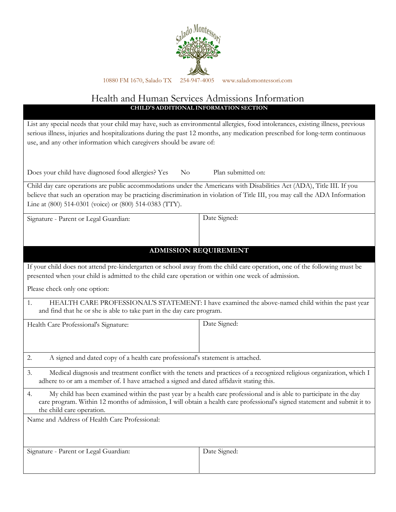

# Health and Human Services Admissions Information CHILD'S ADDITIONAL INFORMATION SECTION

List any special needs that your child may have, such as environmental allergies, food intolerances, existing illness, previous serious illness, injuries and hospitalizations during the past 12 months, any medication prescribed for long-term continuous use, and any other information which caregivers should be aware of:

Does your child have diagnosed food allergies? Yes No Plan submitted on:

Child day care operations are public accommodations under the Americans with Disabilities Act (ADA), Title III. If you believe that such an operation may be practicing discrimination in violation of Title III, you may call the ADA Information Line at (800) 514-0301 (voice) or (800) 514-0383 (TTY).

| Signature - Parent or Legal Guardian: | Date Signed: |
|---------------------------------------|--------------|
|                                       |              |

# ADMISSION REQUIREMENT

If your child does not attend pre-kindergarten or school away from the child care operation, one of the following must be presented when your child is admitted to the child care operation or within one week of admission.

Please check only one option:

1. HEALTH CARE PROFESSIONAL'S STATEMENT: I have examined the above-named child within the past year and find that he or she is able to take part in the day care program.

Health Care Professional's Signature: Date Signed: 2. A signed and dated copy of a health care professional's statement is attached.

- 3. Medical diagnosis and treatment conflict with the tenets and practices of a recognized religious organization, which I adhere to or am a member of. I have attached a signed and dated affidavit stating this.
- 4. My child has been examined within the past year by a health care professional and is able to participate in the day care program. Within 12 months of admission, I will obtain a health care professional's signed statement and submit it to the child care operation.

Name and Address of Health Care Professional:

Signature - Parent or Legal Guardian: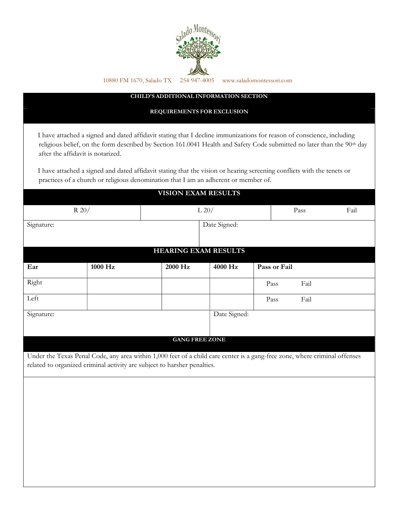

### CHILD'S ADDITIONAL INFORMATION SECTION

#### REQUIREMENTS FOR EXCLUSION

 I have attached a signed and dated affidavit stating that I decline immunizations for reason of conscience, including religious belief, on the form described by Section 161.0041 Health and Safety Code submitted no later than the 90<sup>th</sup> day after the affidavit is notarized.

 I have attached a signed and dated affidavit stating that the vision or hearing screening conflicts with the tenets or practices of a church or religious denomination that I am an adherent or member of.

VIOLANT EXAM RESULTS

| VISIUN EAAM RESULTS                                                      |              |                             |         |                                                                                                                            |  |  |  |
|--------------------------------------------------------------------------|--------------|-----------------------------|---------|----------------------------------------------------------------------------------------------------------------------------|--|--|--|
|                                                                          | $R$ 20/      | L 20/                       |         | Pass<br>Fail                                                                                                               |  |  |  |
| Signature:                                                               | Date Signed: |                             |         |                                                                                                                            |  |  |  |
|                                                                          |              |                             |         |                                                                                                                            |  |  |  |
|                                                                          |              | <b>HEARING EXAM RESULTS</b> |         |                                                                                                                            |  |  |  |
| Ear                                                                      | 1000 Hz      | 2000 Hz                     | 4000 Hz | Pass or Fail                                                                                                               |  |  |  |
| Right                                                                    |              |                             |         | Fail<br>Pass                                                                                                               |  |  |  |
| Left                                                                     |              |                             |         | Fail<br>Pass                                                                                                               |  |  |  |
| Date Signed:<br>Signature:                                               |              |                             |         |                                                                                                                            |  |  |  |
|                                                                          |              |                             |         |                                                                                                                            |  |  |  |
|                                                                          |              | <b>GANG FREE ZONE</b>       |         |                                                                                                                            |  |  |  |
|                                                                          |              |                             |         | Under the Texas Penal Code, any area within 1,000 feet of a child care center is a gang-free zone, where criminal offenses |  |  |  |
| related to organized criminal activity are subject to harsher penalties. |              |                             |         |                                                                                                                            |  |  |  |
|                                                                          |              |                             |         |                                                                                                                            |  |  |  |
|                                                                          |              |                             |         |                                                                                                                            |  |  |  |
|                                                                          |              |                             |         |                                                                                                                            |  |  |  |
|                                                                          |              |                             |         |                                                                                                                            |  |  |  |
|                                                                          |              |                             |         |                                                                                                                            |  |  |  |
|                                                                          |              |                             |         |                                                                                                                            |  |  |  |
|                                                                          |              |                             |         |                                                                                                                            |  |  |  |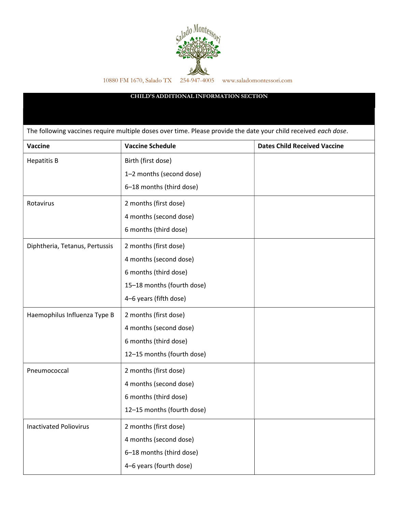

### CHILD'S ADDITIONAL INFORMATION SECTION

The following vaccines require multiple doses over time. Please provide the date your child received each dose.

| Vaccine                        | <b>Vaccine Schedule</b>    | <b>Dates Child Received Vaccine</b> |
|--------------------------------|----------------------------|-------------------------------------|
| <b>Hepatitis B</b>             | Birth (first dose)         |                                     |
|                                | 1-2 months (second dose)   |                                     |
|                                | 6-18 months (third dose)   |                                     |
| Rotavirus                      | 2 months (first dose)      |                                     |
|                                | 4 months (second dose)     |                                     |
|                                | 6 months (third dose)      |                                     |
| Diphtheria, Tetanus, Pertussis | 2 months (first dose)      |                                     |
|                                | 4 months (second dose)     |                                     |
|                                | 6 months (third dose)      |                                     |
|                                | 15-18 months (fourth dose) |                                     |
|                                | 4-6 years (fifth dose)     |                                     |
| Haemophilus Influenza Type B   | 2 months (first dose)      |                                     |
|                                | 4 months (second dose)     |                                     |
|                                | 6 months (third dose)      |                                     |
|                                | 12-15 months (fourth dose) |                                     |
| Pneumococcal                   | 2 months (first dose)      |                                     |
|                                | 4 months (second dose)     |                                     |
|                                | 6 months (third dose)      |                                     |
|                                | 12-15 months (fourth dose) |                                     |
| <b>Inactivated Poliovirus</b>  | 2 months (first dose)      |                                     |
|                                | 4 months (second dose)     |                                     |
|                                | 6-18 months (third dose)   |                                     |
|                                | 4-6 years (fourth dose)    |                                     |